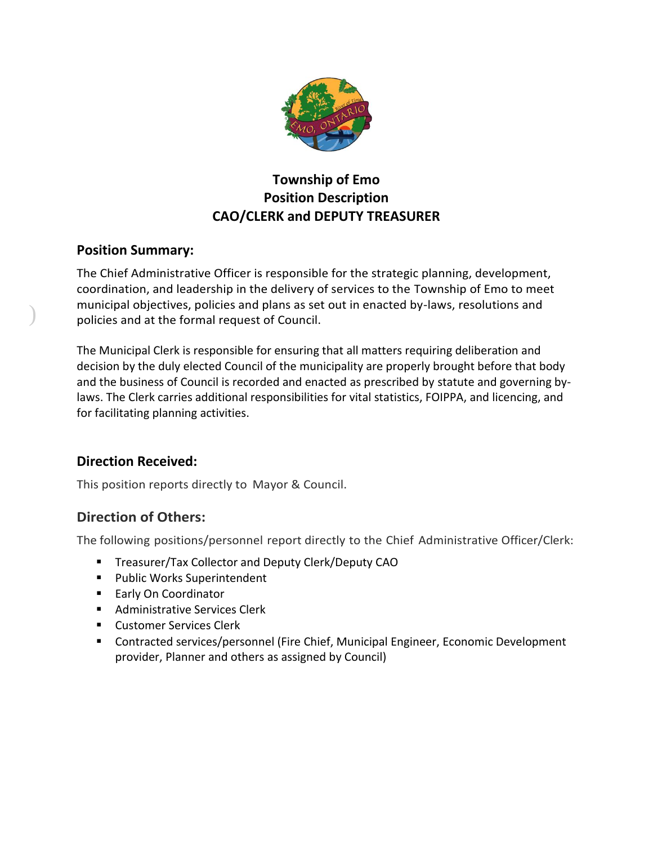

# **Township of Emo Position Description CAO/CLERK and DEPUTY TREASURER**

## **Position Summary:**

)

The Chief Administrative Officer is responsible for the strategic planning, development, coordination, and leadership in the delivery of services to the Township of Emo to meet municipal objectives, policies and plans as set out in enacted by-laws, resolutions and policies and at the formal request of Council.

The Municipal Clerk is responsible for ensuring that all matters requiring deliberation and decision by the duly elected Council of the municipality are properly brought before that body and the business of Council is recorded and enacted as prescribed by statute and governing bylaws. The Clerk carries additional responsibilities for vital statistics, FOIPPA, and licencing, and for facilitating planning activities.

## **Direction Received:**

This position reports directly to Mayor & Council.

## **Direction of Others:**

The following positions/personnel report directly to the Chief Administrative Officer/Clerk:

- **E** Treasurer/Tax Collector and Deputy Clerk/Deputy CAO
- Public Works Superintendent
- Early On Coordinator
- Administrative Services Clerk
- Customer Services Clerk
- Contracted services/personnel (Fire Chief, Municipal Engineer, Economic Development provider, Planner and others as assigned by Council)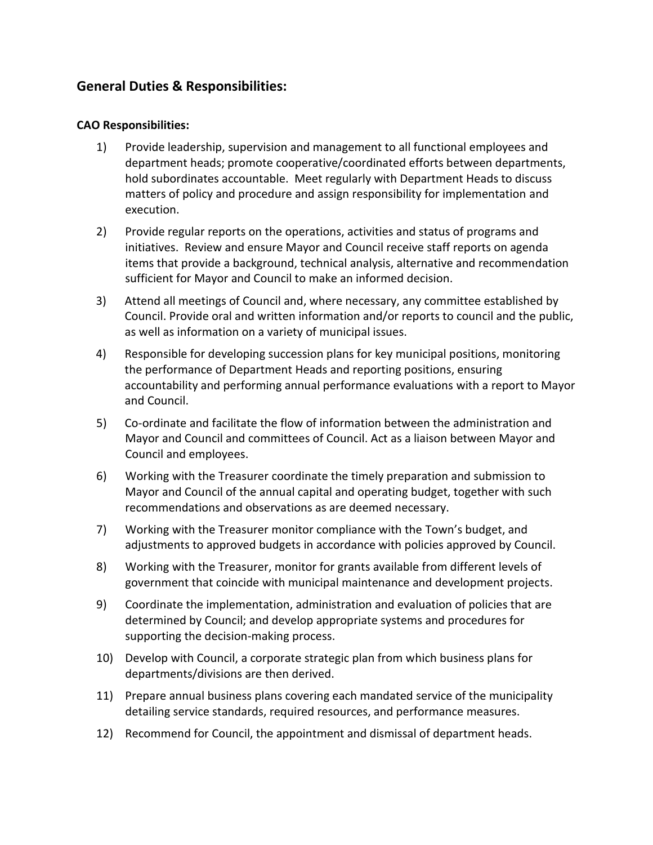### **General Duties & Responsibilities:**

#### **CAO Responsibilities:**

- 1) Provide leadership, supervision and management to all functional employees and department heads; promote cooperative/coordinated efforts between departments, hold subordinates accountable. Meet regularly with Department Heads to discuss matters of policy and procedure and assign responsibility for implementation and execution.
- 2) Provide regular reports on the operations, activities and status of programs and initiatives. Review and ensure Mayor and Council receive staff reports on agenda items that provide a background, technical analysis, alternative and recommendation sufficient for Mayor and Council to make an informed decision.
- 3) Attend all meetings of Council and, where necessary, any committee established by Council. Provide oral and written information and/or reports to council and the public, as well as information on a variety of municipal issues.
- 4) Responsible for developing succession plans for key municipal positions, monitoring the performance of Department Heads and reporting positions, ensuring accountability and performing annual performance evaluations with a report to Mayor and Council.
- 5) Co-ordinate and facilitate the flow of information between the administration and Mayor and Council and committees of Council. Act as a liaison between Mayor and Council and employees.
- 6) Working with the Treasurer coordinate the timely preparation and submission to Mayor and Council of the annual capital and operating budget, together with such recommendations and observations as are deemed necessary.
- 7) Working with the Treasurer monitor compliance with the Town's budget, and adjustments to approved budgets in accordance with policies approved by Council.
- 8) Working with the Treasurer, monitor for grants available from different levels of government that coincide with municipal maintenance and development projects.
- 9) Coordinate the implementation, administration and evaluation of policies that are determined by Council; and develop appropriate systems and procedures for supporting the decision-making process.
- 10) Develop with Council, a corporate strategic plan from which business plans for departments/divisions are then derived.
- 11) Prepare annual business plans covering each mandated service of the municipality detailing service standards, required resources, and performance measures.
- 12) Recommend for Council, the appointment and dismissal of department heads.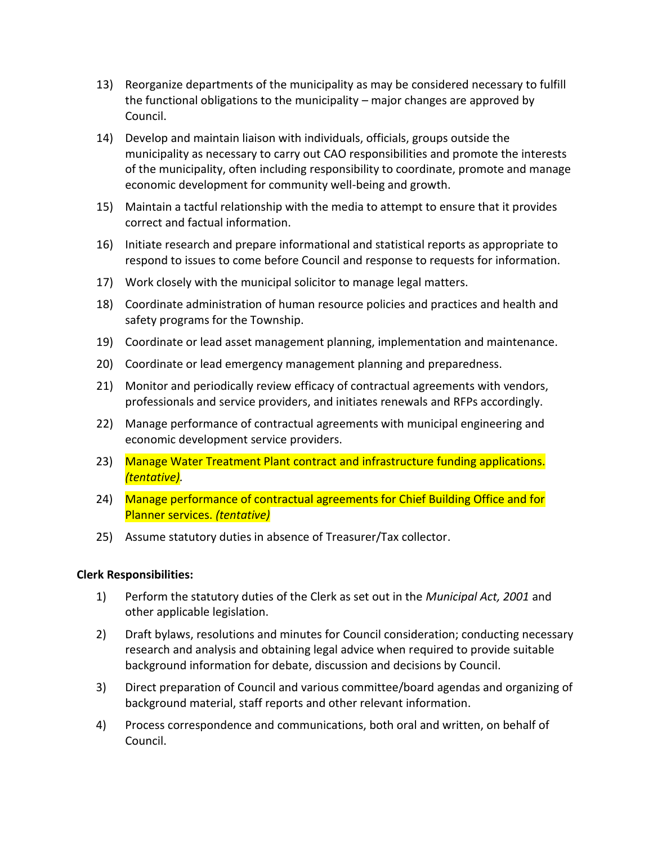- 13) Reorganize departments of the municipality as may be considered necessary to fulfill the functional obligations to the municipality – major changes are approved by Council.
- 14) Develop and maintain liaison with individuals, officials, groups outside the municipality as necessary to carry out CAO responsibilities and promote the interests of the municipality, often including responsibility to coordinate, promote and manage economic development for community well-being and growth.
- 15) Maintain a tactful relationship with the media to attempt to ensure that it provides correct and factual information.
- 16) Initiate research and prepare informational and statistical reports as appropriate to respond to issues to come before Council and response to requests for information.
- 17) Work closely with the municipal solicitor to manage legal matters.
- 18) Coordinate administration of human resource policies and practices and health and safety programs for the Township.
- 19) Coordinate or lead asset management planning, implementation and maintenance.
- 20) Coordinate or lead emergency management planning and preparedness.
- 21) Monitor and periodically review efficacy of contractual agreements with vendors, professionals and service providers, and initiates renewals and RFPs accordingly.
- 22) Manage performance of contractual agreements with municipal engineering and economic development service providers.
- 23) Manage Water Treatment Plant contract and infrastructure funding applications*. (tentative).*
- 24) Manage performance of contractual agreements for Chief Building Office and for Planner services. *(tentative)*
- 25) Assume statutory duties in absence of Treasurer/Tax collector.

#### **Clerk Responsibilities:**

- 1) Perform the statutory duties of the Clerk as set out in the *Municipal Act, 2001* and other applicable legislation.
- 2) Draft bylaws, resolutions and minutes for Council consideration; conducting necessary research and analysis and obtaining legal advice when required to provide suitable background information for debate, discussion and decisions by Council.
- 3) Direct preparation of Council and various committee/board agendas and organizing of background material, staff reports and other relevant information.
- 4) Process correspondence and communications, both oral and written, on behalf of Council.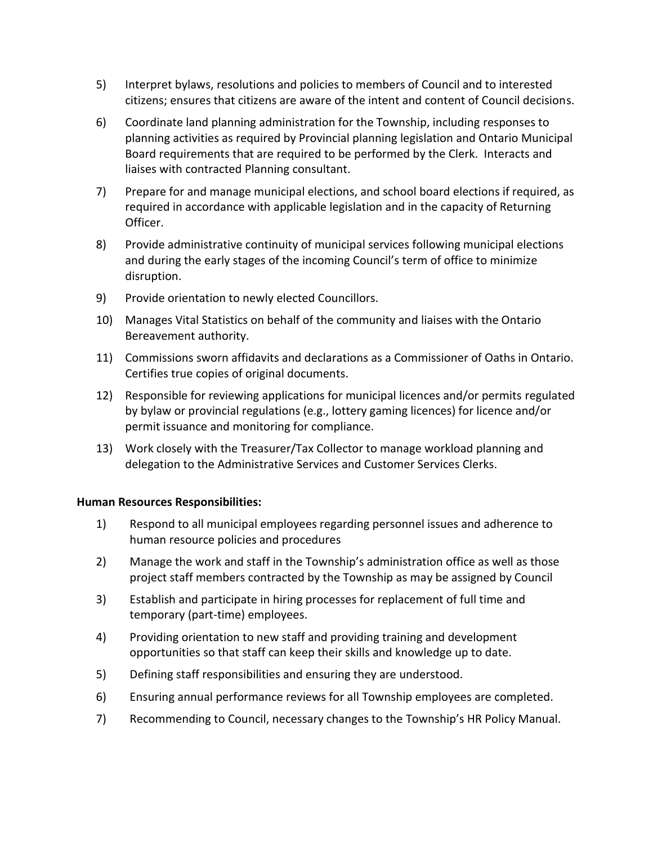- 5) Interpret bylaws, resolutions and policies to members of Council and to interested citizens; ensures that citizens are aware of the intent and content of Council decisions.
- 6) Coordinate land planning administration for the Township, including responses to planning activities as required by Provincial planning legislation and Ontario Municipal Board requirements that are required to be performed by the Clerk. Interacts and liaises with contracted Planning consultant.
- 7) Prepare for and manage municipal elections, and school board elections if required, as required in accordance with applicable legislation and in the capacity of Returning Officer.
- 8) Provide administrative continuity of municipal services following municipal elections and during the early stages of the incoming Council's term of office to minimize disruption.
- 9) Provide orientation to newly elected Councillors.
- 10) Manages Vital Statistics on behalf of the community and liaises with the Ontario Bereavement authority.
- 11) Commissions sworn affidavits and declarations as a Commissioner of Oaths in Ontario. Certifies true copies of original documents.
- 12) Responsible for reviewing applications for municipal licences and/or permits regulated by bylaw or provincial regulations (e.g., lottery gaming licences) for licence and/or permit issuance and monitoring for compliance.
- 13) Work closely with the Treasurer/Tax Collector to manage workload planning and delegation to the Administrative Services and Customer Services Clerks.

#### **Human Resources Responsibilities:**

- 1) Respond to all municipal employees regarding personnel issues and adherence to human resource policies and procedures
- 2) Manage the work and staff in the Township's administration office as well as those project staff members contracted by the Township as may be assigned by Council
- 3) Establish and participate in hiring processes for replacement of full time and temporary (part-time) employees.
- 4) Providing orientation to new staff and providing training and development opportunities so that staff can keep their skills and knowledge up to date.
- 5) Defining staff responsibilities and ensuring they are understood.
- 6) Ensuring annual performance reviews for all Township employees are completed.
- 7) Recommending to Council, necessary changes to the Township's HR Policy Manual.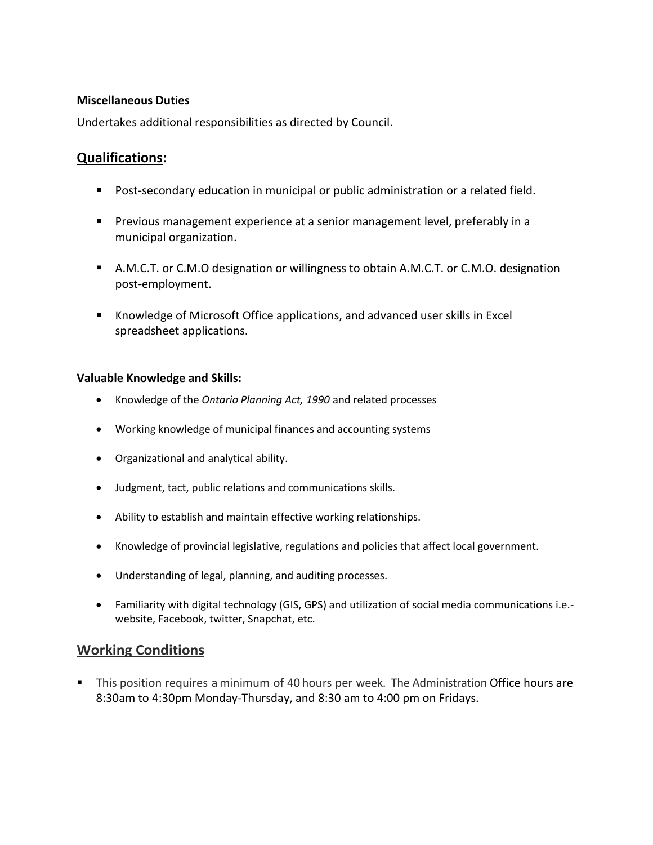#### **Miscellaneous Duties**

Undertakes additional responsibilities as directed by Council.

## **Qualifications:**

- Post-secondary education in municipal or public administration or a related field.
- **•** Previous management experience at a senior management level, preferably in a municipal organization.
- A.M.C.T. or C.M.O designation or willingness to obtain A.M.C.T. or C.M.O. designation post-employment.
- Knowledge of Microsoft Office applications, and advanced user skills in Excel spreadsheet applications.

#### **Valuable Knowledge and Skills:**

- Knowledge of the *Ontario Planning Act, 1990* and related processes
- Working knowledge of municipal finances and accounting systems
- Organizational and analytical ability.
- Judgment, tact, public relations and communications skills.
- Ability to establish and maintain effective working relationships.
- Knowledge of provincial legislative, regulations and policies that affect local government.
- Understanding of legal, planning, and auditing processes.
- Familiarity with digital technology (GIS, GPS) and utilization of social media communications i.e. website, Facebook, twitter, Snapchat, etc.

### **Working Conditions**

**•** This position requires a minimum of 40 hours per week. The Administration Office hours are 8:30am to 4:30pm Monday-Thursday, and 8:30 am to 4:00 pm on Fridays.